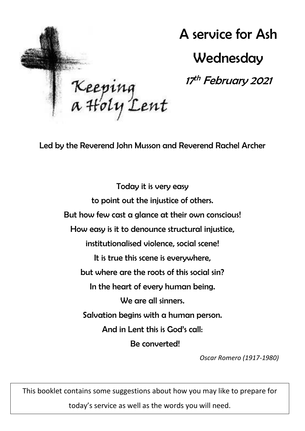

A service for Ash **Wednesday** 

17<sup>th</sup> February 2021

Led by the Reverend John Musson and Reverend Rachel Archer

Today it is very easy to point out the injustice of others. But how few cast a glance at their own conscious! How easy is it to denounce structural injustice, institutionalised violence, social scene! It is true this scene is everywhere, but where are the roots of this social sin? In the heart of every human being. We are all sinners. Salvation begins with a human person. And in Lent this is God's call: Be converted!

*Oscar Romero (1917-1980)*

This booklet contains some suggestions about how you may like to prepare for

today's service as well as the words you will need.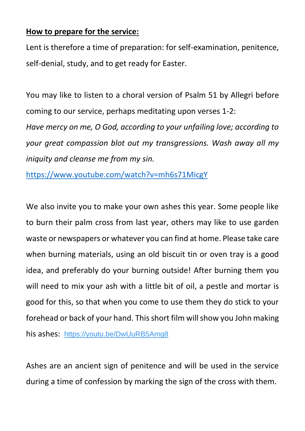### **How to prepare for the service:**

Lent is therefore a time of preparation: for self-examination, penitence, self-denial, study, and to get ready for Easter.

You may like to listen to a choral version of Psalm 51 by Allegri before coming to our service, perhaps meditating upon verses 1-2: *Have mercy on me, O God, according to your unfailing love; according to your great compassion blot out my transgressions. Wash away all my iniquity and cleanse me from my sin.*

<https://www.youtube.com/watch?v=mh6s71MicgY>

We also invite you to make your own ashes this year. Some people like to burn their palm cross from last year, others may like to use garden waste or newspapers or whatever you can find at home. Please take care when burning materials, using an old biscuit tin or oven tray is a good idea, and preferably do your burning outside! After burning them you will need to mix your ash with a little bit of oil, a pestle and mortar is good for this, so that when you come to use them they do stick to your forehead or back of your hand. This short film will show you John making his ashes: <https://youtu.be/DwUuRB5Amg8>

Ashes are an ancient sign of penitence and will be used in the service during a time of confession by marking the sign of the cross with them.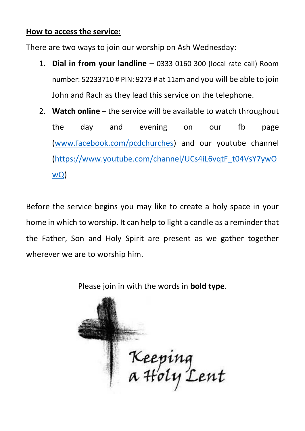#### **How to access the service:**

There are two ways to join our worship on Ash Wednesday:

- 1. **Dial in from your landline** 0333 0160 300 (local rate call) Room number: 52233710 # PIN: 9273 # at 11am and you will be able to join John and Rach as they lead this service on the telephone.
- 2. **Watch online**  the service will be available to watch throughout the day and evening on our fb page [\(www.facebook.com/pcdchurches\)](http://www.facebook.com/pcdchurches) and our youtube channel [\(https://www.youtube.com/channel/UCs4iL6vqtF\\_t04VsY7ywO](https://www.youtube.com/channel/UCs4iL6vqtF_t04VsY7ywOwQ) [wQ\)](https://www.youtube.com/channel/UCs4iL6vqtF_t04VsY7ywOwQ)

Before the service begins you may like to create a holy space in your home in which to worship. It can help to light a candle as a reminder that the Father, Son and Holy Spirit are present as we gather together wherever we are to worship him.

Please join in with the words in **bold type**.

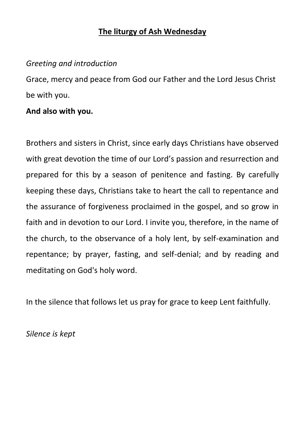# **The liturgy of Ash Wednesday**

# *Greeting and introduction*

Grace, mercy and peace from God our Father and the Lord Jesus Christ be with you.

# **And also with you.**

Brothers and sisters in Christ, since early days Christians have observed with great devotion the time of our Lord's passion and resurrection and prepared for this by a season of penitence and fasting. By carefully keeping these days, Christians take to heart the call to repentance and the assurance of forgiveness proclaimed in the gospel, and so grow in faith and in devotion to our Lord. I invite you, therefore, in the name of the church, to the observance of a holy lent, by self-examination and repentance; by prayer, fasting, and self-denial; and by reading and meditating on God's holy word.

In the silence that follows let us pray for grace to keep Lent faithfully.

*Silence is kept*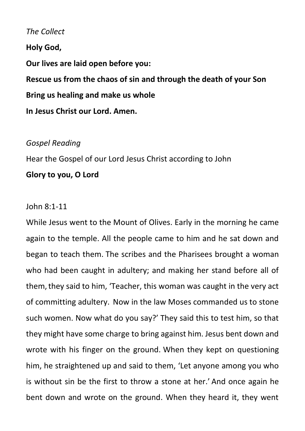### *The Collect*

**Holy God,**

**Our lives are laid open before you:**

**Rescue us from the chaos of sin and through the death of your Son Bring us healing and make us whole In Jesus Christ our Lord. Amen.**

### *Gospel Reading*

Hear the Gospel of our Lord Jesus Christ according to John

#### **Glory to you, O Lord**

#### John 8:1-11

While Jesus went to the Mount of Olives. Early in the morning he came again to the temple. All the people came to him and he sat down and began to teach them. The scribes and the Pharisees brought a woman who had been caught in adultery; and making her stand before all of them,they said to him, 'Teacher, this woman was caught in the very act of committing adultery. Now in the law Moses commanded us to stone such women. Now what do you say?' They said this to test him, so that they might have some charge to bring against him. Jesus bent down and wrote with his finger on the ground. When they kept on questioning him, he straightened up and said to them, 'Let anyone among you who is without sin be the first to throw a stone at her.' And once again he bent down and wrote on the ground. When they heard it, they went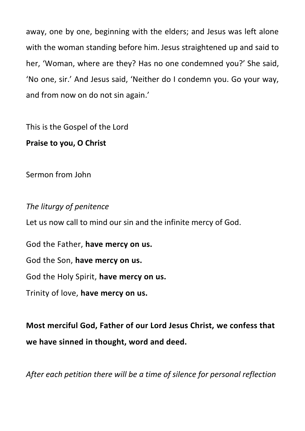away, one by one, beginning with the elders; and Jesus was left alone with the woman standing before him. Jesus straightened up and said to her, 'Woman, where are they? Has no one condemned you?' She said, 'No one, sir.' And Jesus said, 'Neither do I condemn you. Go your way, and from now on do not sin again.'

This is the Gospel of the Lord **Praise to you, O Christ**

Sermon from John

*The liturgy of penitence* Let us now call to mind our sin and the infinite mercy of God. God the Father, **have mercy on us.**

God the Son, **have mercy on us.**

God the Holy Spirit, **have mercy on us.**

Trinity of love, **have mercy on us.**

**Most merciful God, Father of our Lord Jesus Christ, we confess that we have sinned in thought, word and deed.**

*After each petition there will be a time of silence for personal reflection*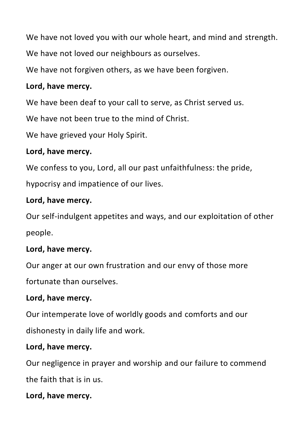We have not loved you with our whole heart, and mind and strength.

We have not loved our neighbours as ourselves.

We have not forgiven others, as we have been forgiven.

## **Lord, have mercy.**

We have been deaf to your call to serve, as Christ served us.

We have not been true to the mind of Christ.

We have grieved your Holy Spirit.

### **Lord, have mercy.**

We confess to you, Lord, all our past unfaithfulness: the pride,

hypocrisy and impatience of our lives.

## **Lord, have mercy.**

Our self-indulgent appetites and ways, and our exploitation of other people.

# **Lord, have mercy.**

Our anger at our own frustration and our envy of those more

fortunate than ourselves.

# **Lord, have mercy.**

Our intemperate love of worldly goods and comforts and our dishonesty in daily life and work.

# **Lord, have mercy.**

Our negligence in prayer and worship and our failure to commend

the faith that is in us.

# **Lord, have mercy.**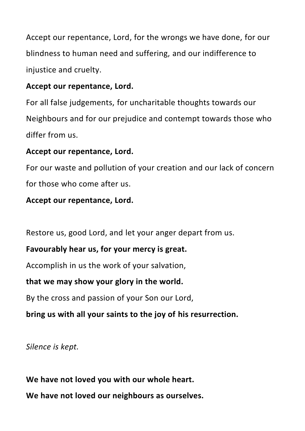Accept our repentance, Lord, for the wrongs we have done, for our blindness to human need and suffering, and our indifference to injustice and cruelty.

## **Accept our repentance, Lord.**

For all false judgements, for uncharitable thoughts towards our Neighbours and for our prejudice and contempt towards those who differ from us.

## **Accept our repentance, Lord.**

For our waste and pollution of your creation and our lack of concern for those who come after us.

# **Accept our repentance, Lord.**

Restore us, good Lord, and let your anger depart from us.

# **Favourably hear us, for your mercy is great.**

Accomplish in us the work of your salvation,

### **that we may show your glory in the world.**

By the cross and passion of your Son our Lord,

# **bring us with all your saints to the joy of his resurrection.**

*Silence is kept.*

**We have not loved you with our whole heart. We have not loved our neighbours as ourselves.**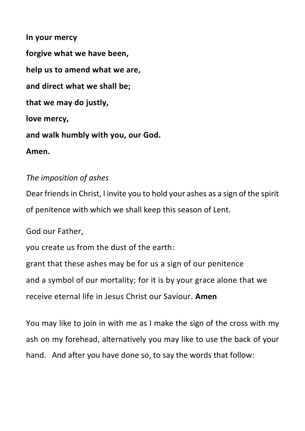**In your mercy forgive what we have been, help us to amend what we are, and direct what we shall be; that we may do justly, love mercy, and walk humbly with you, our God. Amen.**

### *The imposition of ashes*

Dear friends in Christ, I invite you to hold your ashes as a sign of the spirit of penitence with which we shall keep this season of Lent.

God our Father,

you create us from the dust of the earth:

grant that these ashes may be for us a sign of our penitence and a symbol of our mortality; for it is by your grace alone that we receive eternal life in Jesus Christ our Saviour. **Amen**

You may like to join in with me as I make the sign of the cross with my ash on my forehead, alternatively you may like to use the back of your hand. And after you have done so, to say the words that follow: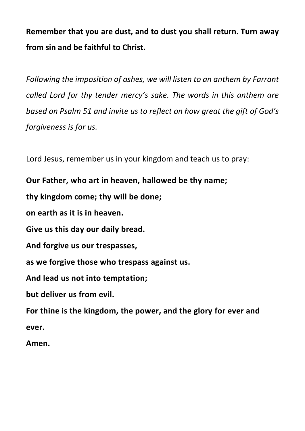**Remember that you are dust, and to dust you shall return. Turn away from sin and be faithful to Christ.**

*Following the imposition of ashes, we will listen to an anthem by Farrant called Lord for thy tender mercy's sake. The words in this anthem are based on Psalm 51 and invite us to reflect on how great the gift of God's forgiveness is for us.*

Lord Jesus, remember us in your kingdom and teach us to pray:

**Our Father, who art in heaven, hallowed be thy name;**

**thy kingdom come; thy will be done;**

**on earth as it is in heaven.**

**Give us this day our daily bread.**

**And forgive us our trespasses,**

**as we forgive those who trespass against us.**

**And lead us not into temptation;**

**but deliver us from evil.**

**For thine is the kingdom, the power, and the glory for ever and ever.**

**Amen.**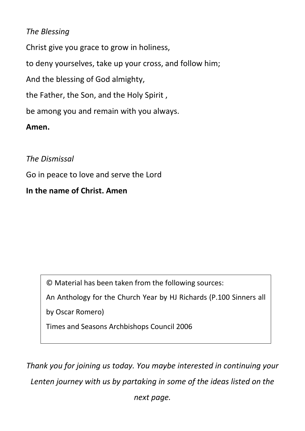# *The Blessing*

Christ give you grace to grow in holiness,

to deny yourselves, take up your cross, and follow him;

And the blessing of God almighty,

the Father, the Son, and the Holy Spirit ,

be among you and remain with you always.

**Amen.**

*The Dismissal*

Go in peace to love and serve the Lord

## **In the name of Christ. Amen**

© Material has been taken from the following sources:

An Anthology for the Church Year by HJ Richards (P.100 Sinners all

by Oscar Romero)

Times and Seasons Archbishops Council 2006

*Thank you for joining us today. You maybe interested in continuing your Lenten journey with us by partaking in some of the ideas listed on the* 

*next page.*